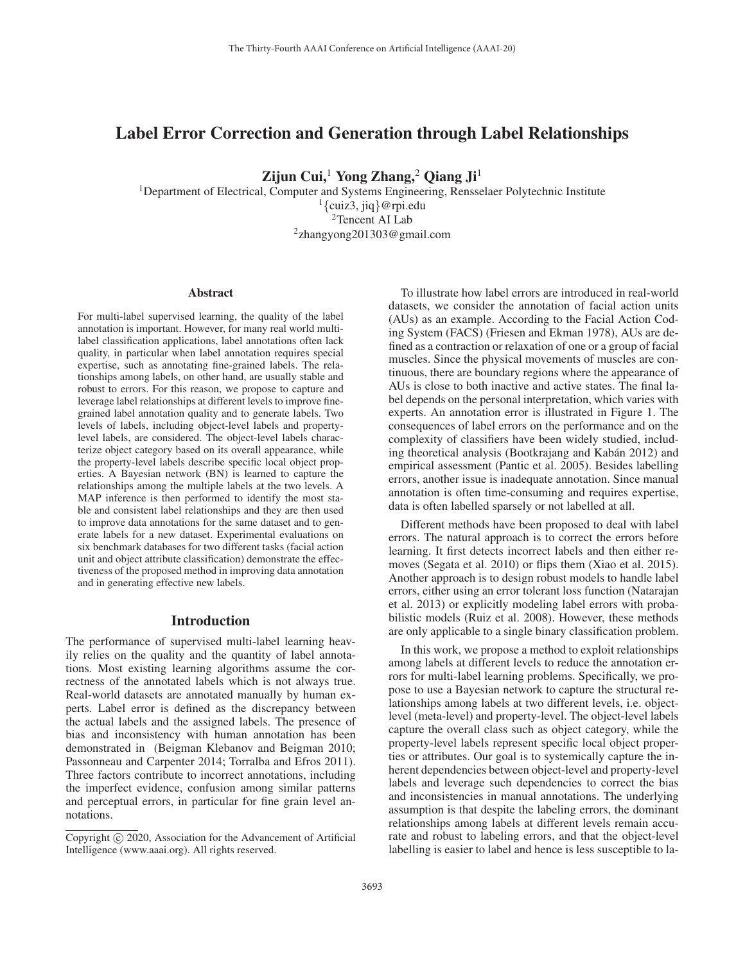# Label Error Correction and Generation through Label Relationships

Zijun Cui, $^1$  Yong Zhang, $^2$  Qiang Ji<sup>1</sup>

<sup>1</sup>Department of Electrical, Computer and Systems Engineering, Rensselaer Polytechnic Institute  $\{l$  {cuiz3, jiq}@rpi.edu 2Tencent AI Lab 2zhangyong201303@gmail.com

#### Abstract

For multi-label supervised learning, the quality of the label annotation is important. However, for many real world multilabel classification applications, label annotations often lack quality, in particular when label annotation requires special expertise, such as annotating fine-grained labels. The relationships among labels, on other hand, are usually stable and robust to errors. For this reason, we propose to capture and leverage label relationships at different levels to improve finegrained label annotation quality and to generate labels. Two levels of labels, including object-level labels and propertylevel labels, are considered. The object-level labels characterize object category based on its overall appearance, while the property-level labels describe specific local object properties. A Bayesian network (BN) is learned to capture the relationships among the multiple labels at the two levels. A MAP inference is then performed to identify the most stable and consistent label relationships and they are then used to improve data annotations for the same dataset and to generate labels for a new dataset. Experimental evaluations on six benchmark databases for two different tasks (facial action unit and object attribute classification) demonstrate the effectiveness of the proposed method in improving data annotation and in generating effective new labels.

## Introduction

The performance of supervised multi-label learning heavily relies on the quality and the quantity of label annotations. Most existing learning algorithms assume the correctness of the annotated labels which is not always true. Real-world datasets are annotated manually by human experts. Label error is defined as the discrepancy between the actual labels and the assigned labels. The presence of bias and inconsistency with human annotation has been demonstrated in (Beigman Klebanov and Beigman 2010; Passonneau and Carpenter 2014; Torralba and Efros 2011). Three factors contribute to incorrect annotations, including the imperfect evidence, confusion among similar patterns and perceptual errors, in particular for fine grain level annotations.

To illustrate how label errors are introduced in real-world datasets, we consider the annotation of facial action units (AUs) as an example. According to the Facial Action Coding System (FACS) (Friesen and Ekman 1978), AUs are defined as a contraction or relaxation of one or a group of facial muscles. Since the physical movements of muscles are continuous, there are boundary regions where the appearance of AUs is close to both inactive and active states. The final label depends on the personal interpretation, which varies with experts. An annotation error is illustrated in Figure 1. The consequences of label errors on the performance and on the complexity of classifiers have been widely studied, including theoretical analysis (Bootkrajang and Kabán 2012) and empirical assessment (Pantic et al. 2005). Besides labelling errors, another issue is inadequate annotation. Since manual annotation is often time-consuming and requires expertise, data is often labelled sparsely or not labelled at all.

Different methods have been proposed to deal with label errors. The natural approach is to correct the errors before learning. It first detects incorrect labels and then either removes (Segata et al. 2010) or flips them (Xiao et al. 2015). Another approach is to design robust models to handle label errors, either using an error tolerant loss function (Natarajan et al. 2013) or explicitly modeling label errors with probabilistic models (Ruiz et al. 2008). However, these methods are only applicable to a single binary classification problem.

In this work, we propose a method to exploit relationships among labels at different levels to reduce the annotation errors for multi-label learning problems. Specifically, we propose to use a Bayesian network to capture the structural relationships among labels at two different levels, i.e. objectlevel (meta-level) and property-level. The object-level labels capture the overall class such as object category, while the property-level labels represent specific local object properties or attributes. Our goal is to systemically capture the inherent dependencies between object-level and property-level labels and leverage such dependencies to correct the bias and inconsistencies in manual annotations. The underlying assumption is that despite the labeling errors, the dominant relationships among labels at different levels remain accurate and robust to labeling errors, and that the object-level labelling is easier to label and hence is less susceptible to la-

Copyright  $\odot$  2020, Association for the Advancement of Artificial Intelligence (www.aaai.org). All rights reserved.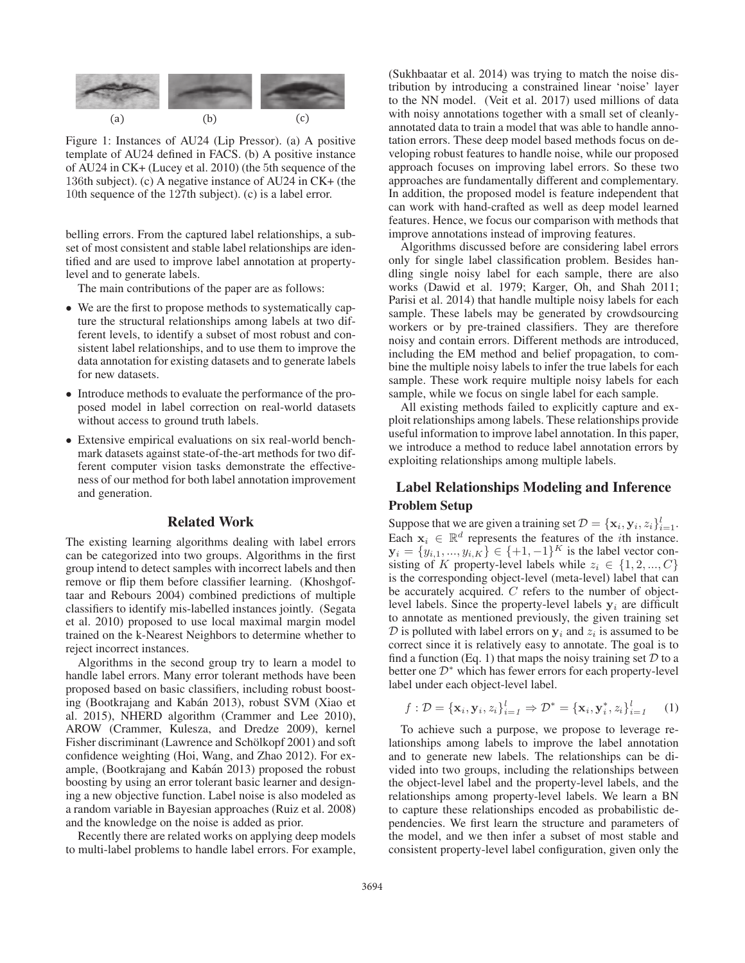

Figure 1: Instances of AU24 (Lip Pressor). (a) A positive template of AU24 defined in FACS. (b) A positive instance of AU24 in CK+ (Lucey et al. 2010) (the 5th sequence of the 136th subject). (c) A negative instance of AU24 in CK+ (the 10th sequence of the 127th subject). (c) is a label error.

belling errors. From the captured label relationships, a subset of most consistent and stable label relationships are identified and are used to improve label annotation at propertylevel and to generate labels.

The main contributions of the paper are as follows:

- We are the first to propose methods to systematically capture the structural relationships among labels at two different levels, to identify a subset of most robust and consistent label relationships, and to use them to improve the data annotation for existing datasets and to generate labels for new datasets.
- Introduce methods to evaluate the performance of the proposed model in label correction on real-world datasets without access to ground truth labels.
- Extensive empirical evaluations on six real-world benchmark datasets against state-of-the-art methods for two different computer vision tasks demonstrate the effectiveness of our method for both label annotation improvement and generation.

## Related Work

The existing learning algorithms dealing with label errors can be categorized into two groups. Algorithms in the first group intend to detect samples with incorrect labels and then remove or flip them before classifier learning. (Khoshgoftaar and Rebours 2004) combined predictions of multiple classifiers to identify mis-labelled instances jointly. (Segata et al. 2010) proposed to use local maximal margin model trained on the k-Nearest Neighbors to determine whether to reject incorrect instances.

Algorithms in the second group try to learn a model to handle label errors. Many error tolerant methods have been proposed based on basic classifiers, including robust boosting (Bootkrajang and Kabán 2013), robust SVM (Xiao et al. 2015), NHERD algorithm (Crammer and Lee 2010), AROW (Crammer, Kulesza, and Dredze 2009), kernel Fisher discriminant (Lawrence and Schölkopf 2001) and soft confidence weighting (Hoi, Wang, and Zhao 2012). For example, (Bootkrajang and Kabán 2013) proposed the robust boosting by using an error tolerant basic learner and designing a new objective function. Label noise is also modeled as a random variable in Bayesian approaches (Ruiz et al. 2008) and the knowledge on the noise is added as prior.

Recently there are related works on applying deep models to multi-label problems to handle label errors. For example,

(Sukhbaatar et al. 2014) was trying to match the noise distribution by introducing a constrained linear 'noise' layer to the NN model. (Veit et al. 2017) used millions of data with noisy annotations together with a small set of cleanlyannotated data to train a model that was able to handle annotation errors. These deep model based methods focus on developing robust features to handle noise, while our proposed approach focuses on improving label errors. So these two approaches are fundamentally different and complementary. In addition, the proposed model is feature independent that can work with hand-crafted as well as deep model learned features. Hence, we focus our comparison with methods that improve annotations instead of improving features.

Algorithms discussed before are considering label errors only for single label classification problem. Besides handling single noisy label for each sample, there are also works (Dawid et al. 1979; Karger, Oh, and Shah 2011; Parisi et al. 2014) that handle multiple noisy labels for each sample. These labels may be generated by crowdsourcing workers or by pre-trained classifiers. They are therefore noisy and contain errors. Different methods are introduced, including the EM method and belief propagation, to combine the multiple noisy labels to infer the true labels for each sample. These work require multiple noisy labels for each sample, while we focus on single label for each sample.

All existing methods failed to explicitly capture and exploit relationships among labels. These relationships provide useful information to improve label annotation. In this paper, we introduce a method to reduce label annotation errors by exploiting relationships among multiple labels.

# Label Relationships Modeling and Inference Problem Setup

Suppose that we are given a training set  $\mathcal{D} = {\mathbf{x}_i, \mathbf{y}_i, z_i}_{i=1}^l$ .<br>Fach  $\mathbf{x}_i \in \mathbb{R}^d$  represents the features of the *i*th instance Each  $x_i \in \mathbb{R}^d$  represents the features of the *i*th instance.  $y_i = \{y_{i,1}, ..., y_{i,K}\}\in \{+1, -1\}^K$  is the label vector consisting of K property-level labels while  $z_i \in \{1, 2, ..., C\}$ is the corresponding object-level (meta-level) label that can be accurately acquired.  $C$  refers to the number of objectlevel labels. Since the property-level labels  $y_i$  are difficult to annotate as mentioned previously, the given training set  $D$  is polluted with label errors on  $y_i$  and  $z_i$  is assumed to be correct since it is relatively easy to annotate. The goal is to find a function (Eq. 1) that maps the noisy training set  $D$  to a better one  $\mathcal{D}^*$  which has fewer errors for each property-level label under each object-level label.

$$
f: \mathcal{D} = {\mathbf{x}_i, \mathbf{y}_i, z_i}_{i=1}^l \Rightarrow \mathcal{D}^* = {\mathbf{x}_i, \mathbf{y}_i^*, z_i}_{i=1}^l \quad (1)
$$

To achieve such a purpose, we propose to leverage relationships among labels to improve the label annotation and to generate new labels. The relationships can be divided into two groups, including the relationships between the object-level label and the property-level labels, and the relationships among property-level labels. We learn a BN to capture these relationships encoded as probabilistic dependencies. We first learn the structure and parameters of the model, and we then infer a subset of most stable and consistent property-level label configuration, given only the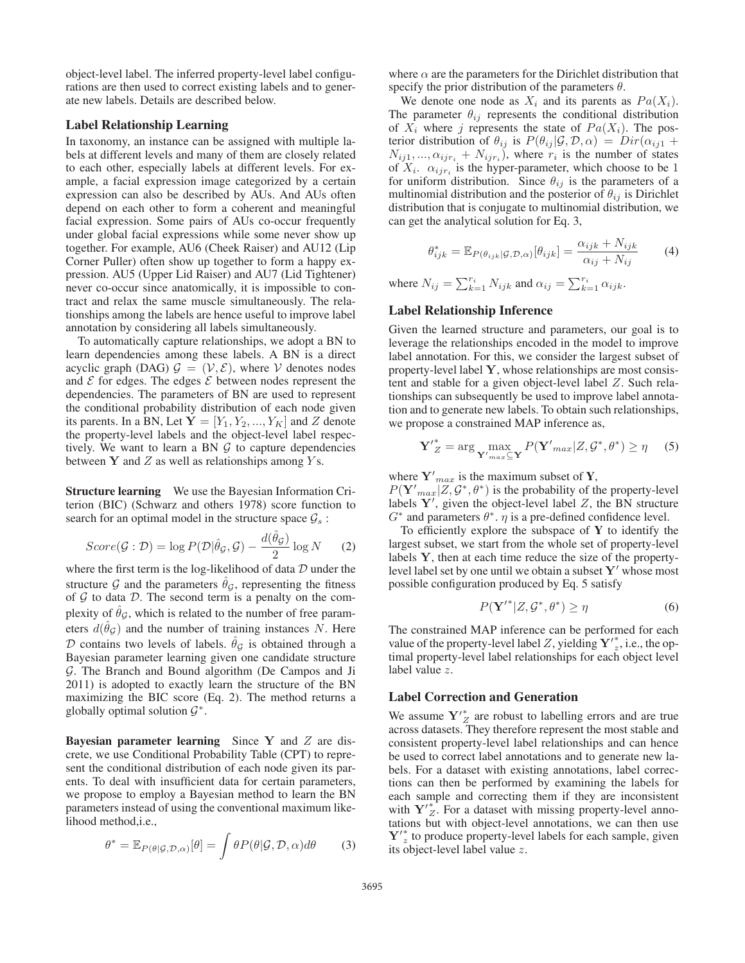object-level label. The inferred property-level label configurations are then used to correct existing labels and to generate new labels. Details are described below.

## Label Relationship Learning

In taxonomy, an instance can be assigned with multiple labels at different levels and many of them are closely related to each other, especially labels at different levels. For example, a facial expression image categorized by a certain expression can also be described by AUs. And AUs often depend on each other to form a coherent and meaningful facial expression. Some pairs of AUs co-occur frequently under global facial expressions while some never show up together. For example, AU6 (Cheek Raiser) and AU12 (Lip Corner Puller) often show up together to form a happy expression. AU5 (Upper Lid Raiser) and AU7 (Lid Tightener) never co-occur since anatomically, it is impossible to contract and relax the same muscle simultaneously. The relationships among the labels are hence useful to improve label annotation by considering all labels simultaneously.

To automatically capture relationships, we adopt a BN to learn dependencies among these labels. A BN is a direct acyclic graph (DAG)  $\mathcal{G} = (\mathcal{V}, \mathcal{E})$ , where V denotes nodes and  $\mathcal E$  for edges. The edges  $\mathcal E$  between nodes represent the dependencies. The parameters of BN are used to represent the conditional probability distribution of each node given its parents. In a BN, Let  $Y = [Y_1, Y_2, ..., Y_K]$  and Z denote the property-level labels and the object-level label respectively. We want to learn a BN  $G$  to capture dependencies between **Y** and *Z* as well as relationships among *Y* s.

Structure learning We use the Bayesian Information Criterion (BIC) (Schwarz and others 1978) score function to search for an optimal model in the structure space  $\mathcal{G}_s$ :

$$
Score(\mathcal{G} : \mathcal{D}) = \log P(\mathcal{D}|\hat{\theta}_{\mathcal{G}}, \mathcal{G}) - \frac{d(\hat{\theta}_{\mathcal{G}})}{2} \log N
$$
 (2)  
where the first term is the log-likelihood of data  $\mathcal{D}$  under the

structure G and the parameters  $\hat{\theta}_\mathcal{G}$ , representing the fitness of  $G$  to data  $D$ . The second term is a penalty on the complexity of  $\theta_{\mathcal{G}}$ , which is related to the number of free parameters  $d(\theta_{\mathcal{G}})$  and the number of training instances N. Here D contains two levels of labels.  $\hat{\theta}_G$  is obtained through a Bayesian parameter learning given one candidate structure G. The Branch and Bound algorithm (De Campos and Ji 2011) is adopted to exactly learn the structure of the BN maximizing the BIC score (Eq. 2). The method returns a globally optimal solution  $\mathcal{G}^*$ .

Bayesian parameter learning Since **Y** and Z are discrete, we use Conditional Probability Table (CPT) to represent the conditional distribution of each node given its parents. To deal with insufficient data for certain parameters, we propose to employ a Bayesian method to learn the BN parameters instead of using the conventional maximum likelihood method,i.e.,

$$
\theta^* = \mathbb{E}_{P(\theta|\mathcal{G}, \mathcal{D}, \alpha)}[\theta] = \int \theta P(\theta|\mathcal{G}, \mathcal{D}, \alpha) d\theta \qquad (3)
$$

where  $\alpha$  are the parameters for the Dirichlet distribution that specify the prior distribution of the parameters  $\theta$ .

We denote one node as  $X_i$  and its parents as  $Pa(X_i)$ . The parameter  $\theta_{ij}$  represents the conditional distribution of  $X_i$  where j represents the state of  $Pa(X_i)$ . The posterior distribution of  $\theta_{ij}$  is  $P(\theta_{ij} | \mathcal{G}, \mathcal{D}, \alpha) = Dir(\alpha_{ij1} +$  $N_{ij1}, ..., \alpha_{ijr_i} + N_{ijr_i}$ , where  $r_i$  is the number of states of  $X_i$ .  $\alpha_{ijr_i}$  is the hyper-parameter, which choose to be 1 for uniform distribution. Since  $\theta_{ij}$  is the parameters of a multinomial distribution and the posterior of  $\theta_{ij}$  is Dirichlet distribution that is conjugate to multinomial distribution, we can get the analytical solution for Eq. 3,

$$
\theta_{ijk}^* = \mathbb{E}_{P(\theta_{ijk}|\mathcal{G}, \mathcal{D}, \alpha)}[\theta_{ijk}] = \frac{\alpha_{ijk} + N_{ijk}}{\alpha_{ij} + N_{ij}}
$$
(4)

where  $N_{ij} = \sum_{k=1}^{r_i} N_{ijk}$  and  $\alpha_{ij} = \sum_{k=1}^{r_i} \alpha_{ijk}$ .

### Label Relationship Inference

Given the learned structure and parameters, our goal is to leverage the relationships encoded in the model to improve label annotation. For this, we consider the largest subset of property-level label **Y**, whose relationships are most consistent and stable for a given object-level label Z. Such relationships can subsequently be used to improve label annotation and to generate new labels. To obtain such relationships, we propose a constrained MAP inference as,

$$
\mathbf{Y'}_{Z}^{*} = \arg\max_{\mathbf{Y'}_{max} \subseteq \mathbf{Y}} P(\mathbf{Y'}_{max} | Z, \mathcal{G}^{*}, \theta^{*}) \ge \eta \quad (5)
$$

where  $Y'_{max}$  is the maximum subset of Y,

 $P(\mathbf{Y}'_{max} | Z, \mathcal{G}^*, \theta^*)$  is the probability of the property-level<br>labels  $\mathbf{Y}'$  given the object-level label Z the BN structure labels  $\overline{Y}$ , given the object-level label  $Z$ , the BN structure  $G^*$  and parameters  $\theta^*$ .  $\eta$  is a pre-defined confidence level.

To efficiently explore the subspace of  $Y$  to identify the largest subset, we start from the whole set of property-level labels **Y**, then at each time reduce the size of the propertylevel label set by one until we obtain a subset  $Y'$  whose most possible configuration produced by Eq. 5 satisfy

$$
P(\mathbf{Y}'^*|Z, \mathcal{G}^*, \theta^*) \ge \eta \tag{6}
$$

The constrained MAP inference can be performed for each value of the property-level label Z, yielding  $Y'_{z}$ , i.e., the optimal property-level label relationships for each object level label value z.

### Label Correction and Generation

We assume  $Y'^*_{Z}$  are robust to labelling errors and are true across datasets. They therefore represent the most stable and consistent property-level label relationships and can hence be used to correct label annotations and to generate new labels. For a dataset with existing annotations, label corrections can then be performed by examining the labels for each sample and correcting them if they are inconsistent with  $Y^*_{Z}$ . For a dataset with missing property-level annotations but with object-level annotations, we can then use **Y**<sup>∤\*</sup><sub>z</sub> to produce property-level labels for each sample, given its object-level label value z.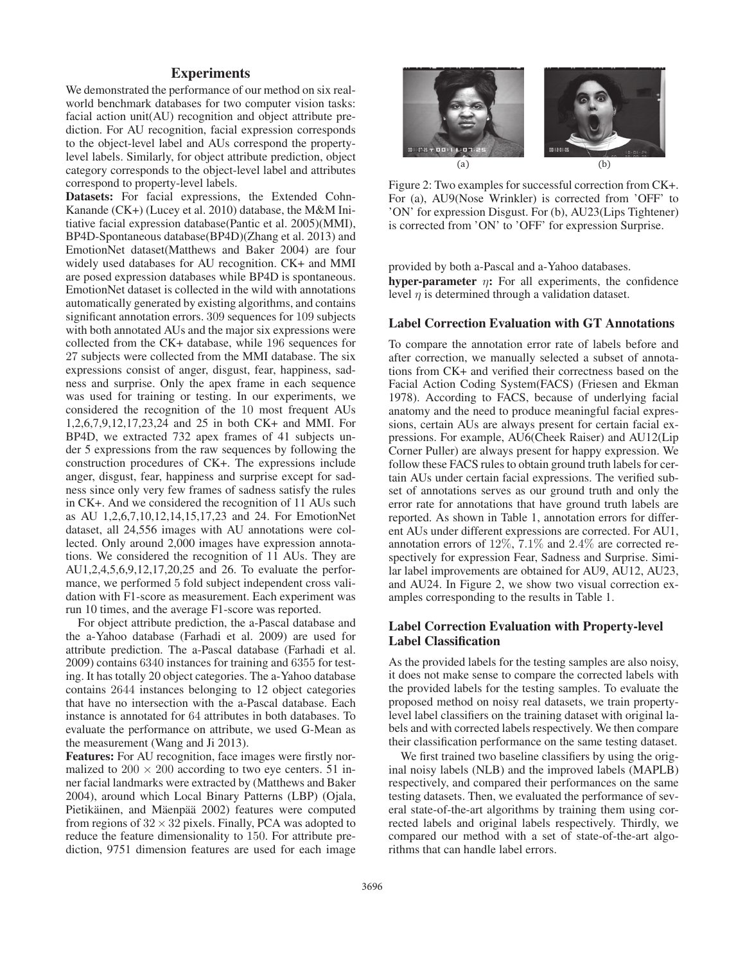## **Experiments**

We demonstrated the performance of our method on six realworld benchmark databases for two computer vision tasks: facial action unit(AU) recognition and object attribute prediction. For AU recognition, facial expression corresponds to the object-level label and AUs correspond the propertylevel labels. Similarly, for object attribute prediction, object category corresponds to the object-level label and attributes correspond to property-level labels.

Datasets: For facial expressions, the Extended Cohn-Kanande (CK+) (Lucey et al. 2010) database, the M&M Initiative facial expression database(Pantic et al. 2005)(MMI), BP4D-Spontaneous database(BP4D)(Zhang et al. 2013) and EmotionNet dataset(Matthews and Baker 2004) are four widely used databases for AU recognition. CK+ and MMI are posed expression databases while BP4D is spontaneous. EmotionNet dataset is collected in the wild with annotations automatically generated by existing algorithms, and contains significant annotation errors. 309 sequences for 109 subjects with both annotated AUs and the major six expressions were collected from the CK+ database, while 196 sequences for 27 subjects were collected from the MMI database. The six expressions consist of anger, disgust, fear, happiness, sadness and surprise. Only the apex frame in each sequence was used for training or testing. In our experiments, we considered the recognition of the 10 most frequent AUs 1,2,6,7,9,12,17,23,24 and 25 in both CK+ and MMI. For BP4D, we extracted 732 apex frames of 41 subjects under 5 expressions from the raw sequences by following the construction procedures of CK+. The expressions include anger, disgust, fear, happiness and surprise except for sadness since only very few frames of sadness satisfy the rules in CK+. And we considered the recognition of 11 AUs such as AU 1,2,6,7,10,12,14,15,17,23 and 24. For EmotionNet dataset, all 24,556 images with AU annotations were collected. Only around 2,000 images have expression annotations. We considered the recognition of 11 AUs. They are AU1,2,4,5,6,9,12,17,20,25 and 26. To evaluate the performance, we performed 5 fold subject independent cross validation with F1-score as measurement. Each experiment was run 10 times, and the average F1-score was reported.

For object attribute prediction, the a-Pascal database and the a-Yahoo database (Farhadi et al. 2009) are used for attribute prediction. The a-Pascal database (Farhadi et al. 2009) contains 6340 instances for training and 6355 for testing. It has totally 20 object categories. The a-Yahoo database contains 2644 instances belonging to 12 object categories that have no intersection with the a-Pascal database. Each instance is annotated for 64 attributes in both databases. To evaluate the performance on attribute, we used G-Mean as the measurement (Wang and Ji 2013).

Features: For AU recognition, face images were firstly normalized to  $200 \times 200$  according to two eye centers. 51 inner facial landmarks were extracted by (Matthews and Baker 2004), around which Local Binary Patterns (LBP) (Ojala, Pietikäinen, and Mäenpää 2002) features were computed from regions of  $32 \times 32$  pixels. Finally, PCA was adopted to reduce the feature dimensionality to 150. For attribute prediction, 9751 dimension features are used for each image



Figure 2: Two examples for successful correction from CK+. For (a), AU9(Nose Wrinkler) is corrected from 'OFF' to 'ON' for expression Disgust. For (b), AU23(Lips Tightener) is corrected from 'ON' to 'OFF' for expression Surprise.

provided by both a-Pascal and a-Yahoo databases. hyper-parameter  $\eta$ : For all experiments, the confidence level  $\eta$  is determined through a validation dataset.

#### Label Correction Evaluation with GT Annotations

To compare the annotation error rate of labels before and after correction, we manually selected a subset of annotations from CK+ and verified their correctness based on the Facial Action Coding System(FACS) (Friesen and Ekman 1978). According to FACS, because of underlying facial anatomy and the need to produce meaningful facial expressions, certain AUs are always present for certain facial expressions. For example, AU6(Cheek Raiser) and AU12(Lip Corner Puller) are always present for happy expression. We follow these FACS rules to obtain ground truth labels for certain AUs under certain facial expressions. The verified subset of annotations serves as our ground truth and only the error rate for annotations that have ground truth labels are reported. As shown in Table 1, annotation errors for different AUs under different expressions are corrected. For AU1, annotation errors of 12%, 7.1% and 2.4% are corrected respectively for expression Fear, Sadness and Surprise. Similar label improvements are obtained for AU9, AU12, AU23, and AU24. In Figure 2, we show two visual correction examples corresponding to the results in Table 1.

## Label Correction Evaluation with Property-level Label Classification

As the provided labels for the testing samples are also noisy, it does not make sense to compare the corrected labels with the provided labels for the testing samples. To evaluate the proposed method on noisy real datasets, we train propertylevel label classifiers on the training dataset with original labels and with corrected labels respectively. We then compare their classification performance on the same testing dataset.

We first trained two baseline classifiers by using the original noisy labels (NLB) and the improved labels (MAPLB) respectively, and compared their performances on the same testing datasets. Then, we evaluated the performance of several state-of-the-art algorithms by training them using corrected labels and original labels respectively. Thirdly, we compared our method with a set of state-of-the-art algorithms that can handle label errors.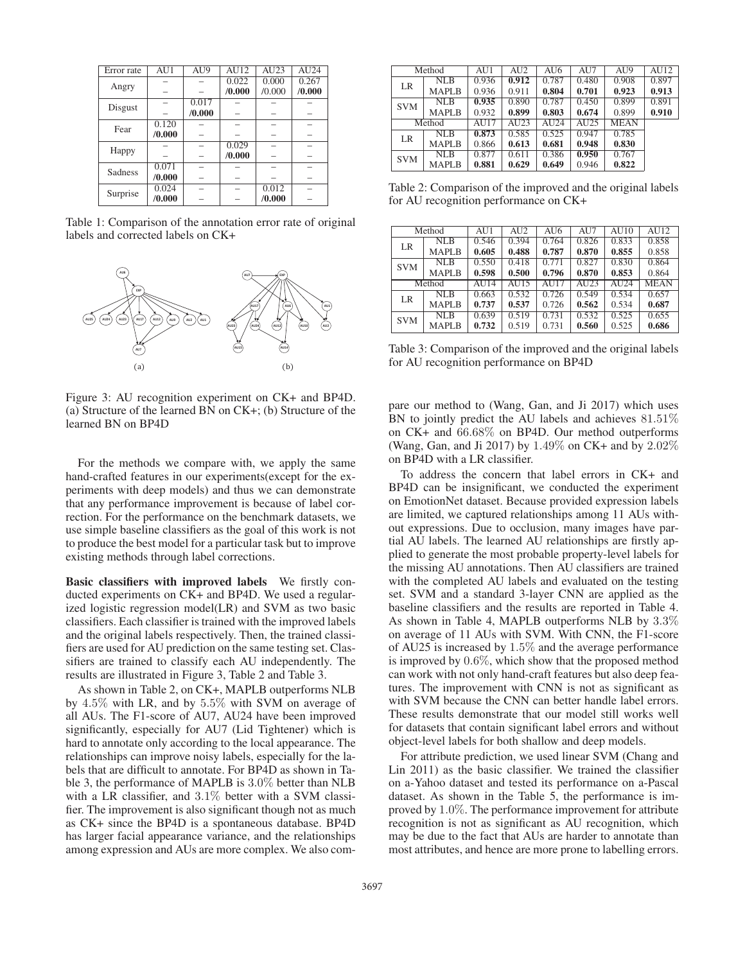| Error rate | AU1    | AU9    | AU12   | AU23   | AU24   |
|------------|--------|--------|--------|--------|--------|
|            |        |        | 0.022  | 0.000  | 0.267  |
| Angry      |        |        | /0.000 | /0.000 | /0.000 |
|            |        | 0.017  |        |        |        |
| Disgust    |        | /0.000 |        |        |        |
| Fear       | 0.120  |        |        |        |        |
|            | /0.000 |        |        |        |        |
|            |        |        | 0.029  |        |        |
| Happy      |        |        | /0.000 |        |        |
| Sadness    | 0.071  |        |        |        |        |
|            | /0.000 |        |        |        |        |
|            | 0.024  |        |        | 0.012  |        |
| Surprise   | /0.000 |        |        | /0.000 |        |
|            |        |        |        |        |        |

Table 1: Comparison of the annotation error rate of original labels and corrected labels on CK+



Figure 3: AU recognition experiment on CK+ and BP4D. (a) Structure of the learned BN on CK+; (b) Structure of the learned BN on BP4D

For the methods we compare with, we apply the same hand-crafted features in our experiments(except for the experiments with deep models) and thus we can demonstrate that any performance improvement is because of label correction. For the performance on the benchmark datasets, we use simple baseline classifiers as the goal of this work is not to produce the best model for a particular task but to improve existing methods through label corrections.

Basic classifiers with improved labels We firstly conducted experiments on CK+ and BP4D. We used a regularized logistic regression model(LR) and SVM as two basic classifiers. Each classifier is trained with the improved labels and the original labels respectively. Then, the trained classifiers are used for AU prediction on the same testing set. Classifiers are trained to classify each AU independently. The results are illustrated in Figure 3, Table 2 and Table 3.

As shown in Table 2, on CK+, MAPLB outperforms NLB by 4.5% with LR, and by 5.5% with SVM on average of all AUs. The F1-score of AU7, AU24 have been improved significantly, especially for AU7 (Lid Tightener) which is hard to annotate only according to the local appearance. The relationships can improve noisy labels, especially for the labels that are difficult to annotate. For BP4D as shown in Table 3, the performance of MAPLB is 3.0% better than NLB with a LR classifier, and 3.1% better with a SVM classifier. The improvement is also significant though not as much as CK+ since the BP4D is a spontaneous database. BP4D has larger facial appearance variance, and the relationships among expression and AUs are more complex. We also com-

| Method     |              | AU1   | AU2   | AU6   | AU7   | AU9         | AU12  |
|------------|--------------|-------|-------|-------|-------|-------------|-------|
| LR         | <b>NLB</b>   | 0.936 | 0.912 | 0.787 | 0.480 | 0.908       | 0.897 |
|            | <b>MAPLB</b> | 0.936 | 0.911 | 0.804 | 0.701 | 0.923       | 0.913 |
| <b>SVM</b> | NLB          | 0.935 | 0.890 | 0.787 | 0.450 | 0.899       | 0.891 |
|            | <b>MAPLB</b> | 0.932 | 0.899 | 0.803 | 0.674 | 0.899       | 0.910 |
|            | Method       | AU17  | AU23  | AU24  | AU25  | <b>MEAN</b> |       |
| LR         | NLB          | 0.873 | 0.585 | 0.525 | 0.947 | 0.785       |       |
|            | <b>MAPLB</b> | 0.866 | 0.613 | 0.681 | 0.948 | 0.830       |       |
| <b>SVM</b> | <b>NLB</b>   | 0.877 | 0.611 | 0.386 | 0.950 | 0.767       |       |
|            | <b>MAPLB</b> | 0.881 | 0.629 | 0.649 | 0.946 | 0.822       |       |

Table 2: Comparison of the improved and the original labels for AU recognition performance on CK+

|            | Method       |       | AU <sub>2</sub>    | AU6   | AU7   | AI110            | AI112       |
|------------|--------------|-------|--------------------|-------|-------|------------------|-------------|
| LR         | NLB          | 0.546 | 0.394              | 0.764 | 0.826 | 0.833            | 0.858       |
|            | <b>MAPLB</b> | 0.605 | 0.488              | 0.787 | 0.870 | 0.855            | 0.858       |
| <b>SVM</b> | NLB          | 0.550 | 0.418              | 0.771 | 0.827 | 0.830            | 0.864       |
|            | <b>MAPLB</b> | 0.598 | 0.500              | 0.796 | 0.870 | 0.853            | 0.864       |
|            | Method       | AU14  | $\overline{A}$ U15 | AI17  | AU23  | AU <sub>24</sub> | <b>MEAN</b> |
| LR         | NLB          | 0.663 | 0.532              | 0.726 | 0.549 | 0.534            | 0.657       |
|            | <b>MAPLB</b> | 0.737 | 0.537              | 0.726 | 0.562 | 0.534            | 0.687       |
| <b>SVM</b> | NLR          | 0.639 | 0.519              | 0.731 | 0.532 | 0.525            | 0.655       |
|            | <b>MAPLB</b> | 0.732 | 0.519              | 0.731 | 0.560 | 0.525            | 0.686       |

Table 3: Comparison of the improved and the original labels for AU recognition performance on BP4D

pare our method to (Wang, Gan, and Ji 2017) which uses BN to jointly predict the AU labels and achieves 81.51% on CK+ and 66.68% on BP4D. Our method outperforms (Wang, Gan, and Ji 2017) by 1.49% on CK+ and by 2.02% on BP4D with a LR classifier.

To address the concern that label errors in CK+ and BP4D can be insignificant, we conducted the experiment on EmotionNet dataset. Because provided expression labels are limited, we captured relationships among 11 AUs without expressions. Due to occlusion, many images have partial AU labels. The learned AU relationships are firstly applied to generate the most probable property-level labels for the missing AU annotations. Then AU classifiers are trained with the completed AU labels and evaluated on the testing set. SVM and a standard 3-layer CNN are applied as the baseline classifiers and the results are reported in Table 4. As shown in Table 4, MAPLB outperforms NLB by 3.3% on average of 11 AUs with SVM. With CNN, the F1-score of AU25 is increased by 1.5% and the average performance is improved by 0.6%, which show that the proposed method can work with not only hand-craft features but also deep features. The improvement with CNN is not as significant as with SVM because the CNN can better handle label errors. These results demonstrate that our model still works well for datasets that contain significant label errors and without object-level labels for both shallow and deep models.

For attribute prediction, we used linear SVM (Chang and Lin 2011) as the basic classifier. We trained the classifier on a-Yahoo dataset and tested its performance on a-Pascal dataset. As shown in the Table 5, the performance is improved by 1.0%. The performance improvement for attribute recognition is not as significant as AU recognition, which may be due to the fact that AUs are harder to annotate than most attributes, and hence are more prone to labelling errors.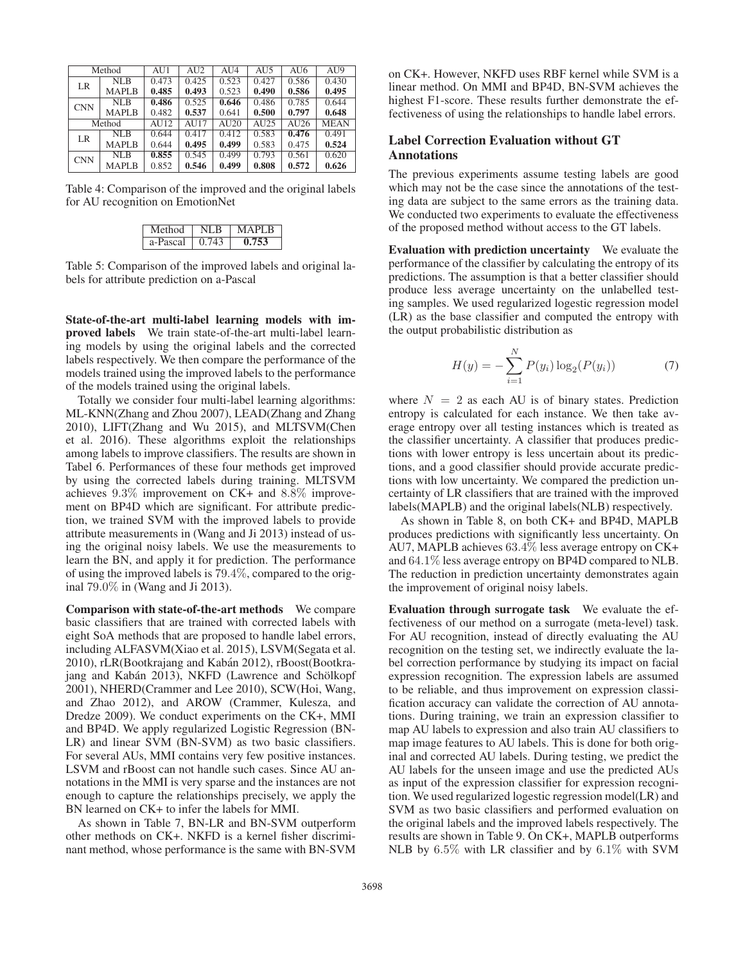|            | Method       | AU1   | AU <sub>2</sub>          | AI14  | AU <sub>5</sub> | AU <sub>6</sub> | AU <sub>9</sub> |
|------------|--------------|-------|--------------------------|-------|-----------------|-----------------|-----------------|
| LR         | NLB          | 0.473 | 0.425                    | 0.523 | 0.427           | 0.586           | 0.430           |
|            | <b>MAPLB</b> | 0.485 | 0.493                    | 0.523 | 0.490           | 0.586           | 0.495           |
| <b>CNN</b> | NLB          | 0.486 | 0.525                    | 0.646 | 0.486           | 0.785           | 0.644           |
|            | <b>MAPLB</b> | 0.482 | 0.537                    | 0.641 | 0.500           | 0.797           | 0.648           |
|            | Method       | AU12  | $\overline{\text{AU}}17$ | AU20  | AU25            | AU26            | <b>MEAN</b>     |
| LR         | NLB          | 0.644 | 0.417                    | 0.412 | 0.583           | 0.476           | 0.491           |
|            | <b>MAPLB</b> | 0.644 | 0.495                    | 0.499 | 0.583           | 0.475           | 0.524           |
| <b>CNN</b> | NLB          | 0.855 | 0.545                    | 0.499 | 0.793           | 0.561           | 0.620           |
|            | <b>MAPLB</b> | 0.852 | 0.546                    | 0.499 | 0.808           | 0.572           | 0.626           |

Table 4: Comparison of the improved and the original labels for AU recognition on EmotionNet

| Method   | NI R  | <b>MAPLB</b> |
|----------|-------|--------------|
| a-Pascal | 0.743 | 0.753        |

Table 5: Comparison of the improved labels and original labels for attribute prediction on a-Pascal

State-of-the-art multi-label learning models with improved labels We train state-of-the-art multi-label learning models by using the original labels and the corrected labels respectively. We then compare the performance of the models trained using the improved labels to the performance of the models trained using the original labels.

Totally we consider four multi-label learning algorithms: ML-KNN(Zhang and Zhou 2007), LEAD(Zhang and Zhang 2010), LIFT(Zhang and Wu 2015), and MLTSVM(Chen et al. 2016). These algorithms exploit the relationships among labels to improve classifiers. The results are shown in Tabel 6. Performances of these four methods get improved by using the corrected labels during training. MLTSVM achieves 9.3% improvement on CK+ and 8.8% improvement on BP4D which are significant. For attribute prediction, we trained SVM with the improved labels to provide attribute measurements in (Wang and Ji 2013) instead of using the original noisy labels. We use the measurements to learn the BN, and apply it for prediction. The performance of using the improved labels is 79.4%, compared to the original 79.0% in (Wang and Ji 2013).

Comparison with state-of-the-art methods We compare basic classifiers that are trained with corrected labels with eight SoA methods that are proposed to handle label errors, including ALFASVM(Xiao et al. 2015), LSVM(Segata et al. 2010), rLR(Bootkrajang and Kabán 2012), rBoost(Bootkrajang and Kabán 2013), NKFD (Lawrence and Schölkopf 2001), NHERD(Crammer and Lee 2010), SCW(Hoi, Wang, and Zhao 2012), and AROW (Crammer, Kulesza, and Dredze 2009). We conduct experiments on the CK+, MMI and BP4D. We apply regularized Logistic Regression (BN-LR) and linear SVM (BN-SVM) as two basic classifiers. For several AUs, MMI contains very few positive instances. LSVM and rBoost can not handle such cases. Since AU annotations in the MMI is very sparse and the instances are not enough to capture the relationships precisely, we apply the BN learned on CK+ to infer the labels for MMI.

As shown in Table 7, BN-LR and BN-SVM outperform other methods on CK+. NKFD is a kernel fisher discriminant method, whose performance is the same with BN-SVM

on CK+. However, NKFD uses RBF kernel while SVM is a linear method. On MMI and BP4D, BN-SVM achieves the highest F1-score. These results further demonstrate the effectiveness of using the relationships to handle label errors.

## Label Correction Evaluation without GT Annotations

The previous experiments assume testing labels are good which may not be the case since the annotations of the testing data are subject to the same errors as the training data. We conducted two experiments to evaluate the effectiveness of the proposed method without access to the GT labels.

Evaluation with prediction uncertainty We evaluate the performance of the classifier by calculating the entropy of its predictions. The assumption is that a better classifier should produce less average uncertainty on the unlabelled testing samples. We used regularized logestic regression model (LR) as the base classifier and computed the entropy with the output probabilistic distribution as

$$
H(y) = -\sum_{i=1}^{N} P(y_i) \log_2(P(y_i))
$$
 (7)

where  $N = 2$  as each AU is of binary states. Prediction entropy is calculated for each instance. We then take average entropy over all testing instances which is treated as the classifier uncertainty. A classifier that produces predictions with lower entropy is less uncertain about its predictions, and a good classifier should provide accurate predictions with low uncertainty. We compared the prediction uncertainty of LR classifiers that are trained with the improved labels(MAPLB) and the original labels(NLB) respectively.

As shown in Table 8, on both CK+ and BP4D, MAPLB produces predictions with significantly less uncertainty. On AU7, MAPLB achieves 63.4% less average entropy on CK+ and 64.1% less average entropy on BP4D compared to NLB. The reduction in prediction uncertainty demonstrates again the improvement of original noisy labels.

Evaluation through surrogate task We evaluate the effectiveness of our method on a surrogate (meta-level) task. For AU recognition, instead of directly evaluating the AU recognition on the testing set, we indirectly evaluate the label correction performance by studying its impact on facial expression recognition. The expression labels are assumed to be reliable, and thus improvement on expression classification accuracy can validate the correction of AU annotations. During training, we train an expression classifier to map AU labels to expression and also train AU classifiers to map image features to AU labels. This is done for both original and corrected AU labels. During testing, we predict the AU labels for the unseen image and use the predicted AUs as input of the expression classifier for expression recognition. We used regularized logestic regression model(LR) and SVM as two basic classifiers and performed evaluation on the original labels and the improved labels respectively. The results are shown in Table 9. On CK+, MAPLB outperforms NLB by 6.5% with LR classifier and by 6.1% with SVM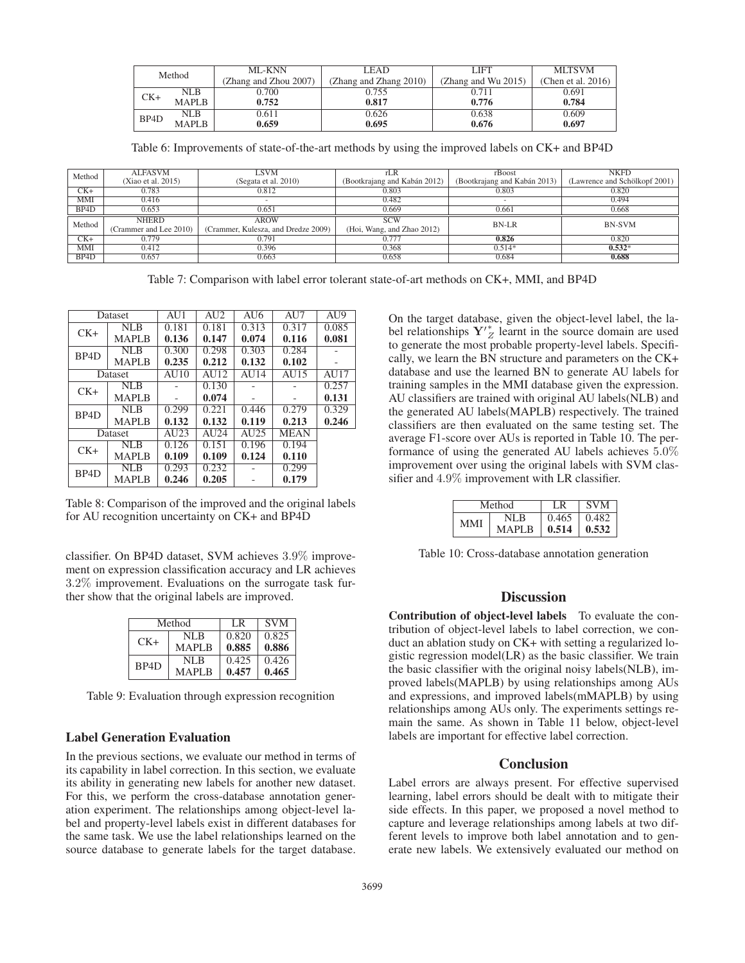| Method            |              | ML-KNN                | LEAD                   | LIFT                | <b>MLTSVM</b>         |
|-------------------|--------------|-----------------------|------------------------|---------------------|-----------------------|
|                   |              | (Zhang and Zhou 2007) | (Zhang and Zhang 2010) | (Zhang and Wu 2015) | (Chen et al. $2016$ ) |
|                   | NLB          | 0.700                 | 0.755                  | 0.711               | 0.691                 |
| $CK+$             | <b>MAPLB</b> | 0.752                 | 0.817                  | 0.776               | 0.784                 |
| BP <sub>4</sub> D | NLB.         | 0.611                 | 0.626                  | 0.638               | 0.609                 |
|                   | <b>MAPLB</b> | 0.659                 | 0.695                  | 0.676               | 0.697                 |

Table 6: Improvements of state-of-the-art methods by using the improved labels on CK+ and BP4D

| Method            | <b>ALFASVM</b>         | <b>LSVM</b>                         |                              | rBoost                       | <b>NKFD</b>                   |
|-------------------|------------------------|-------------------------------------|------------------------------|------------------------------|-------------------------------|
|                   | (Xiao et al. 2015)     | (Segata et al. 2010)                | (Bootkrajang and Kabán 2012) | (Bootkrajang and Kabán 2013) | (Lawrence and Schölkopf 2001) |
| $CK+$             | 0.783                  | 0.812                               | 0.803                        | 0.803                        | 0.820                         |
| MMI               | 0.416                  |                                     | 0.482                        |                              | 0.494                         |
| BP4D              | 0.653                  | 0.651                               | 0.669                        | 0.661                        | 0.668                         |
| Method            | <b>NHERD</b>           | <b>AROW</b>                         | <b>SCW</b>                   | <b>BN-LR</b>                 | <b>BN-SVM</b>                 |
|                   | (Crammer and Lee 2010) | (Crammer, Kulesza, and Dredze 2009) | (Hoi, Wang, and Zhao 2012)   |                              |                               |
| $CK+$             | 0.779                  | 0.791                               | 0.777                        | 0.826                        | 0.820                         |
| <b>MMI</b>        | 0.412                  | 0.396                               | 0.368                        | $0.514*$                     | $0.532*$                      |
| BP <sub>4</sub> D | 0.657                  | 0.663                               | 0.658                        | 0.684                        | 0.688                         |

Table 7: Comparison with label error tolerant state-of-art methods on CK+, MMI, and BP4D

|                   | Dataset              |                                | $\overline{A}U\overline{2}$    | AU6                       | AU7         | AU9   |
|-------------------|----------------------|--------------------------------|--------------------------------|---------------------------|-------------|-------|
| $CK+$             | NLB                  | 0.181                          | 0.181                          | 0.313                     | 0.317       | 0.085 |
|                   | <b>MAPLB</b>         | 0.136                          | 0.147                          | 0.074                     | 0.116       | 0.081 |
| BP <sub>4</sub> D | NLB                  | 0.300                          | 0.298                          | 0.303                     | 0.284       |       |
|                   | <b>MAPLB</b>         | 0.235                          | 0.212                          | 0.132                     | 0.102       |       |
|                   | Dataset              | AU10                           | AI112                          | AI14                      | AU15        | AU17  |
| $CK+$             | $\overline{\rm NLB}$ |                                | 0.130                          |                           |             | 0.257 |
|                   | <b>MAPLB</b>         |                                | 0.074                          |                           |             | 0.131 |
| BP <sub>4</sub> D | NLB                  | 0.299                          | 0.221                          | 0.446                     | 0.279       | 0.329 |
|                   | <b>MAPLB</b>         | 0.132                          | 0.132                          | 0.119                     | 0.213       | 0.246 |
|                   | Dataset              | $\overline{A}$ U <sub>23</sub> | $\overline{A}$ U <sub>24</sub> | $\overline{\text{AU}}$ 25 | <b>MEAN</b> |       |
| $CK+$             | NL B                 | 0.126                          | 0.151                          | 0.196                     | 0.194       |       |
|                   | <b>MAPLB</b>         | 0.109                          | 0.109                          | 0.124                     | 0.110       |       |
| BP <sub>4</sub> D | NLR                  | 0.293                          | 0.232                          |                           | 0.299       |       |
|                   | <b>MAPLB</b>         | 0.246                          | 0.205                          |                           | 0.179       |       |

Table 8: Comparison of the improved and the original labels for AU recognition uncertainty on CK+ and BP4D

classifier. On BP4D dataset, SVM achieves 3.9% improvement on expression classification accuracy and LR achieves 3.2% improvement. Evaluations on the surrogate task further show that the original labels are improved.

| Method            |              | LR.   | <b>SVM</b> |
|-------------------|--------------|-------|------------|
| $CK+$             | NLB          | 0.820 | 0.825      |
|                   | <b>MAPLB</b> | 0.885 | 0.886      |
| B <sub>P4</sub> D | NLB          | 0.425 | 0.426      |
|                   | <b>MAPLB</b> | 0.457 | 0.465      |

Table 9: Evaluation through expression recognition

#### Label Generation Evaluation

In the previous sections, we evaluate our method in terms of its capability in label correction. In this section, we evaluate its ability in generating new labels for another new dataset. For this, we perform the cross-database annotation generation experiment. The relationships among object-level label and property-level labels exist in different databases for the same task. We use the label relationships learned on the source database to generate labels for the target database.

On the target database, given the object-level label, the label relationships  $Y'_{Z}$  learnt in the source domain are used to generate the most probable property-level labels. Specifically, we learn the BN structure and parameters on the CK+ database and use the learned BN to generate AU labels for training samples in the MMI database given the expression. AU classifiers are trained with original AU labels(NLB) and the generated AU labels(MAPLB) respectively. The trained classifiers are then evaluated on the same testing set. The average F1-score over AUs is reported in Table 10. The performance of using the generated AU labels achieves 5.0% improvement over using the original labels with SVM classifier and 4.9% improvement with LR classifier.

|     | Method |       | <b>SVM</b> |
|-----|--------|-------|------------|
| MMI | NL B   | 0.465 | 0.482      |
|     | MAPLB  | 0.514 | 0.532      |

Table 10: Cross-database annotation generation

## **Discussion**

Contribution of object-level labels To evaluate the contribution of object-level labels to label correction, we conduct an ablation study on CK+ with setting a regularized logistic regression model(LR) as the basic classifier. We train the basic classifier with the original noisy labels(NLB), improved labels(MAPLB) by using relationships among AUs and expressions, and improved labels(mMAPLB) by using relationships among AUs only. The experiments settings remain the same. As shown in Table 11 below, object-level labels are important for effective label correction.

#### Conclusion

Label errors are always present. For effective supervised learning, label errors should be dealt with to mitigate their side effects. In this paper, we proposed a novel method to capture and leverage relationships among labels at two different levels to improve both label annotation and to generate new labels. We extensively evaluated our method on